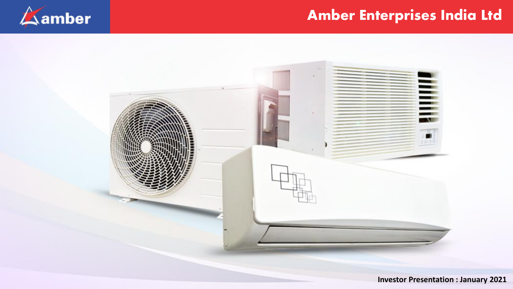

## Amber Enterprises India Ltd



**Investor Presentation : January 2021**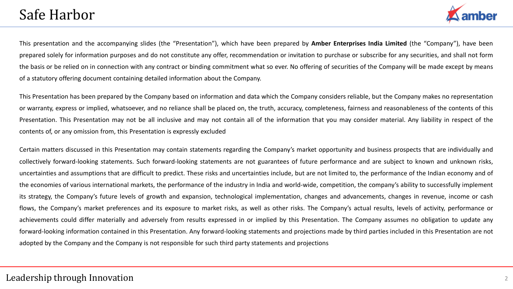

This presentation and the accompanying slides (the "Presentation"), which have been prepared by **Amber Enterprises India Limited** (the "Company"), have been prepared solely for information purposes and do not constitute any offer, recommendation or invitation to purchase or subscribe for any securities, and shall not form the basis or be relied on in connection with any contract or binding commitment what so ever. No offering of securities of the Company will be made except by means of a statutory offering document containing detailed information about the Company.

This Presentation has been prepared by the Company based on information and data which the Company considers reliable, but the Company makes no representation or warranty, express or implied, whatsoever, and no reliance shall be placed on, the truth, accuracy, completeness, fairness and reasonableness of the contents of this Presentation. This Presentation may not be all inclusive and may not contain all of the information that you may consider material. Any liability in respect of the contents of, or any omission from, this Presentation is expressly excluded

Certain matters discussed in this Presentation may contain statements regarding the Company's market opportunity and business prospects that are individually and collectively forward-looking statements. Such forward-looking statements are not guarantees of future performance and are subject to known and unknown risks, uncertainties and assumptions that are difficult to predict. These risks and uncertainties include, but are not limited to, the performance of the Indian economy and of the economies of various international markets, the performance of the industry in India and world-wide, competition, the company's ability to successfully implement its strategy, the Company's future levels of growth and expansion, technological implementation, changes and advancements, changes in revenue, income or cash flows, the Company's market preferences and its exposure to market risks, as well as other risks. The Company's actual results, levels of activity, performance or achievements could differ materially and adversely from results expressed in or implied by this Presentation. The Company assumes no obligation to update any forward-looking information contained in this Presentation. Any forward-looking statements and projections made by third parties included in this Presentation are not adopted by the Company and the Company is not responsible for such third party statements and projections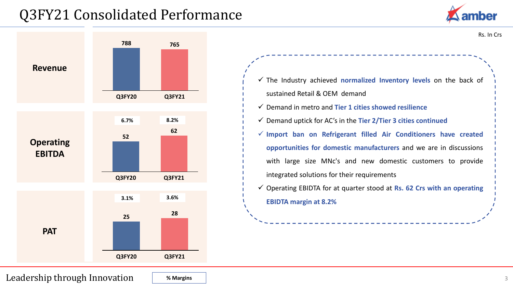## Q3FY21 Consolidated Performance





Rs. In Crs

✓ The Industry achieved **normalized Inventory levels** on the back of sustained Retail & OEM demand ✓ Demand in metro and **Tier 1 cities showed resilience** ✓ Demand uptick for AC's in the **Tier 2/Tier 3 cities continued** ✓ **Import ban on Refrigerant filled Air Conditioners have created opportunities for domestic manufacturers** and we are in discussions with large size MNc's and new domestic customers to provide integrated solutions for their requirements ✓ Operating EBIDTA for at quarter stood at **Rs. 62 Crs with an operating**

**EBIDTA margin at 8.2%**

Leadership through Innovation

**% Margins**

3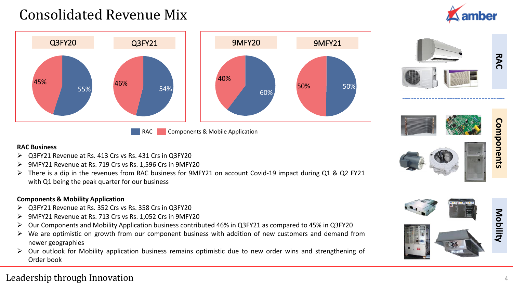## Consolidated Revenue Mix





RAC Components & Mobile Application





# Components **Components**

#### **RAC Business**

- ➢ Q3FY21 Revenue at Rs. 413 Crs vs Rs. 431 Crs in Q3FY20
- ➢ 9MFY21 Revenue at Rs. 719 Crs vs Rs. 1,596 Crs in 9MFY20
- ➢ There is a dip in the revenues from RAC business for 9MFY21 on account Covid-19 impact during Q1 & Q2 FY21 with Q1 being the peak quarter for our business

#### **Components & Mobility Application**

- ➢ Q3FY21 Revenue at Rs. 352 Crs vs Rs. 358 Crs in Q3FY20
- ➢ 9MFY21 Revenue at Rs. 713 Crs vs Rs. 1,052 Crs in 9MFY20
- ➢ Our Components and Mobility Application business contributed 46% in Q3FY21 as compared to 45% in Q3FY20
- ➢ We are optimistic on growth from our component business with addition of new customers and demand from newer geographies
- ➢ Our outlook for Mobility application business remains optimistic due to new order wins and strengthening of Order book





### Leadership through Innovation <sup>4</sup>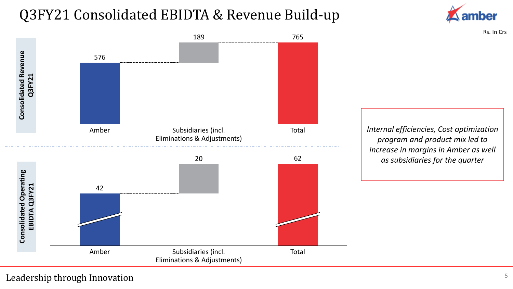# Q3FY21 Consolidated EBIDTA & Revenue Build-up



Rs. In Crs



*Internal efficiencies, Cost optimization program and product mix led to increase in margins in Amber as well* 

#### Leadership through Innovation 5 5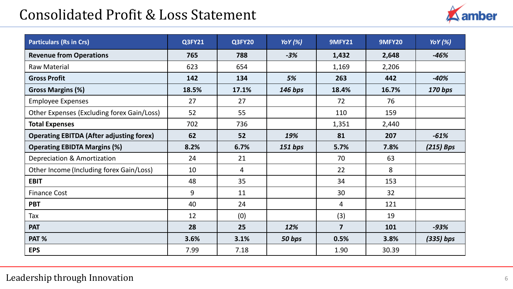## Consolidated Profit & Loss Statement



| <b>Particulars (Rs in Crs)</b>                  | Q3FY21 | <b>Q3FY20</b> | <b>Yo Y</b> (%) | <b>9MFY21</b>  | <b>9MFY20</b> | <b>YoY</b> (%) |
|-------------------------------------------------|--------|---------------|-----------------|----------------|---------------|----------------|
| <b>Revenue from Operations</b>                  | 765    | 788           | $-3%$           | 1,432          | 2,648         | $-46%$         |
| <b>Raw Material</b>                             | 623    | 654           |                 | 1,169          | 2,206         |                |
| <b>Gross Profit</b>                             | 142    | 134           | 5%              | 263            | 442           | $-40%$         |
| <b>Gross Margins (%)</b>                        | 18.5%  | 17.1%         | 146 bps         | 18.4%          | 16.7%         | 170 bps        |
| <b>Employee Expenses</b>                        | 27     | 27            |                 | 72             | 76            |                |
| Other Expenses (Excluding forex Gain/Loss)      | 52     | 55            |                 | 110            | 159           |                |
| <b>Total Expenses</b>                           | 702    | 736           |                 | 1,351          | 2,440         |                |
| <b>Operating EBITDA (After adjusting forex)</b> | 62     | 52            | 19%             | 81             | 207           | $-61%$         |
| <b>Operating EBIDTA Margins (%)</b>             | 8.2%   | 6.7%          | 151 bps         | 5.7%           | 7.8%          | $(215)$ Bps    |
| Depreciation & Amortization                     | 24     | 21            |                 | 70             | 63            |                |
| Other Income (Including forex Gain/Loss)        | 10     | 4             |                 | 22             | 8             |                |
| <b>EBIT</b>                                     | 48     | 35            |                 | 34             | 153           |                |
| <b>Finance Cost</b>                             | 9      | 11            |                 | 30             | 32            |                |
| <b>PBT</b>                                      | 40     | 24            |                 | 4              | 121           |                |
| Tax                                             | 12     | (0)           |                 | (3)            | 19            |                |
| <b>PAT</b>                                      | 28     | 25            | 12%             | $\overline{7}$ | 101           | $-93%$         |
| PAT %                                           | 3.6%   | 3.1%          | 50 bps          | 0.5%           | 3.8%          | $(335)$ bps    |
| <b>EPS</b>                                      | 7.99   | 7.18          |                 | 1.90           | 30.39         |                |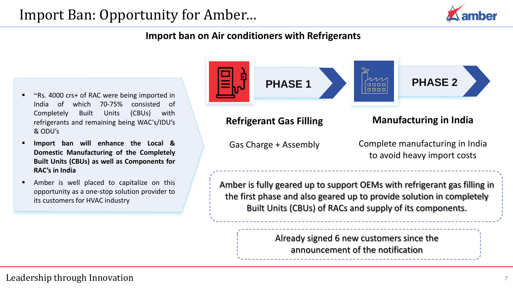

## **Import ban on Air conditioners with Refrigerants**

- $\gamma$ Rs. 4000 crs+ of RAC were being imported in India of which 70-75% consisted of Completely Built Units (CBUs) with refrigerants and remaining being WAC's/IDU's & ODU's
- **Import ban will enhance the Local & Domestic Manufacturing of the Completely Built Units (CBUs) as well as Components for RAC's in India**
- Amber is well placed to capitalize on this opportunity as a one-stop solution provider to its customers for HVAC industry



### **Refrigerant Gas Filling**

Gas Charge + Assembly

**Manufacturing in India**

Complete manufacturing in India to avoid heavy import costs

Amber is fully geared up to support OEMs with refrigerant gas filling in the first phase and also geared up to provide solution in completely Built Units (CBUs) of RACs and supply of its components.

> Already signed 6 new customers since the announcement of the notification